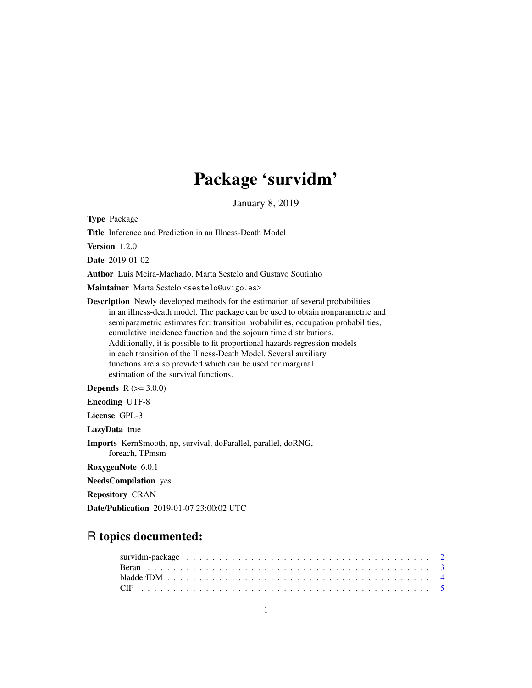# Package 'survidm'

January 8, 2019

<span id="page-0-0"></span>Type Package

Title Inference and Prediction in an Illness-Death Model

Version 1.2.0

Date 2019-01-02

Author Luis Meira-Machado, Marta Sestelo and Gustavo Soutinho

Maintainer Marta Sestelo <sestelo@uvigo.es>

Description Newly developed methods for the estimation of several probabilities in an illness-death model. The package can be used to obtain nonparametric and semiparametric estimates for: transition probabilities, occupation probabilities, cumulative incidence function and the sojourn time distributions. Additionally, it is possible to fit proportional hazards regression models in each transition of the Illness-Death Model. Several auxiliary functions are also provided which can be used for marginal estimation of the survival functions.

**Depends** R  $(>= 3.0.0)$ 

Encoding UTF-8

License GPL-3

LazyData true

Imports KernSmooth, np, survival, doParallel, parallel, doRNG, foreach, TPmsm

RoxygenNote 6.0.1

NeedsCompilation yes

Repository CRAN

Date/Publication 2019-01-07 23:00:02 UTC

# R topics documented: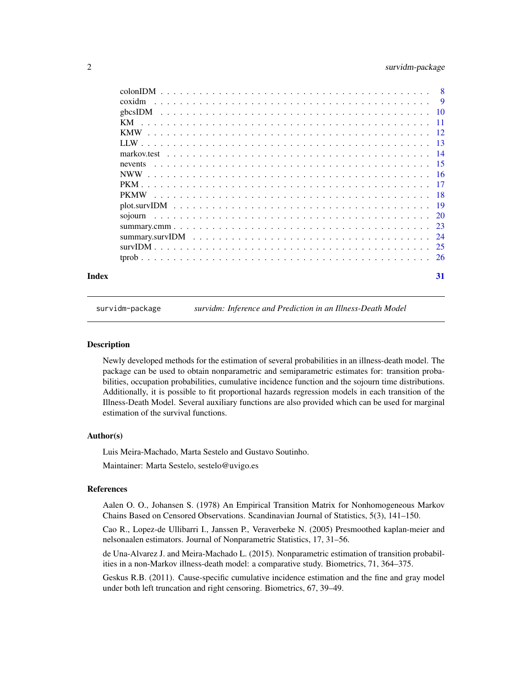# <span id="page-1-0"></span>2 survidm-package

| Index | 31 |
|-------|----|

survidm-package *survidm: Inference and Prediction in an Illness-Death Model*

#### **Description**

Newly developed methods for the estimation of several probabilities in an illness-death model. The package can be used to obtain nonparametric and semiparametric estimates for: transition probabilities, occupation probabilities, cumulative incidence function and the sojourn time distributions. Additionally, it is possible to fit proportional hazards regression models in each transition of the Illness-Death Model. Several auxiliary functions are also provided which can be used for marginal estimation of the survival functions.

# Author(s)

Luis Meira-Machado, Marta Sestelo and Gustavo Soutinho.

Maintainer: Marta Sestelo, sestelo@uvigo.es

#### References

Aalen O. O., Johansen S. (1978) An Empirical Transition Matrix for Nonhomogeneous Markov Chains Based on Censored Observations. Scandinavian Journal of Statistics, 5(3), 141–150.

Cao R., Lopez-de Ullibarri I., Janssen P., Veraverbeke N. (2005) Presmoothed kaplan-meier and nelsonaalen estimators. Journal of Nonparametric Statistics, 17, 31–56.

de Una-Alvarez J. and Meira-Machado L. (2015). Nonparametric estimation of transition probabilities in a non-Markov illness-death model: a comparative study. Biometrics, 71, 364–375.

Geskus R.B. (2011). Cause-specific cumulative incidence estimation and the fine and gray model under both left truncation and right censoring. Biometrics, 67, 39–49.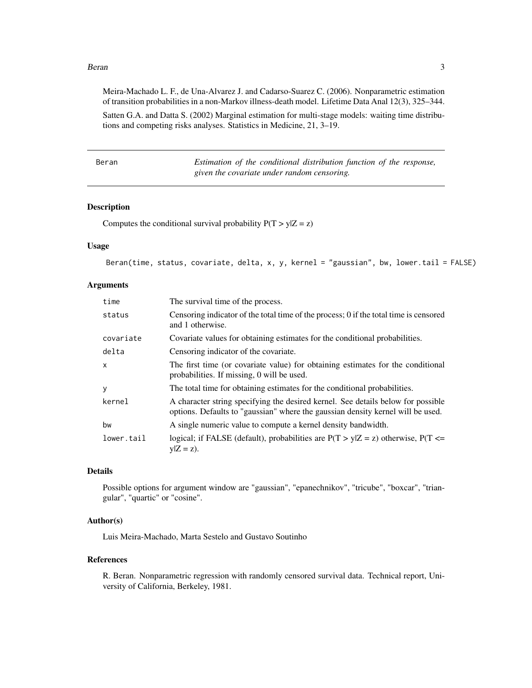#### <span id="page-2-0"></span>Beran 3

Meira-Machado L. F., de Una-Alvarez J. and Cadarso-Suarez C. (2006). Nonparametric estimation of transition probabilities in a non-Markov illness-death model. Lifetime Data Anal 12(3), 325–344.

```
Satten G.A. and Datta S. (2002) Marginal estimation for multi-stage models: waiting time distribu-
tions and competing risks analyses. Statistics in Medicine, 21, 3–19.
```

| Beran | Estimation of the conditional distribution function of the response, |
|-------|----------------------------------------------------------------------|
|       | given the covariate under random censoring.                          |

# Description

Computes the conditional survival probability  $P(T > y|Z = z)$ 

# Usage

```
Beran(time, status, covariate, delta, x, y, kernel = "gaussian", bw, lower.tail = FALSE)
```
#### Arguments

| time         | The survival time of the process.                                                                                                                                   |
|--------------|---------------------------------------------------------------------------------------------------------------------------------------------------------------------|
| status       | Censoring indicator of the total time of the process; 0 if the total time is censored<br>and 1 otherwise.                                                           |
| covariate    | Covariate values for obtaining estimates for the conditional probabilities.                                                                                         |
| delta        | Censoring indicator of the covariate.                                                                                                                               |
| $\mathsf{x}$ | The first time (or covariate value) for obtaining estimates for the conditional<br>probabilities. If missing, 0 will be used.                                       |
| <b>y</b>     | The total time for obtaining estimates for the conditional probabilities.                                                                                           |
| kernel       | A character string specifying the desired kernel. See details below for possible<br>options. Defaults to "gaussian" where the gaussian density kernel will be used. |
| bw           | A single numeric value to compute a kernel density bandwidth.                                                                                                       |
| lower.tail   | logical; if FALSE (default), probabilities are $P(T > y Z = z)$ otherwise, $P(T \le z)$<br>$y Z = z$ ).                                                             |

#### Details

Possible options for argument window are "gaussian", "epanechnikov", "tricube", "boxcar", "triangular", "quartic" or "cosine".

# Author(s)

Luis Meira-Machado, Marta Sestelo and Gustavo Soutinho

# References

R. Beran. Nonparametric regression with randomly censored survival data. Technical report, University of California, Berkeley, 1981.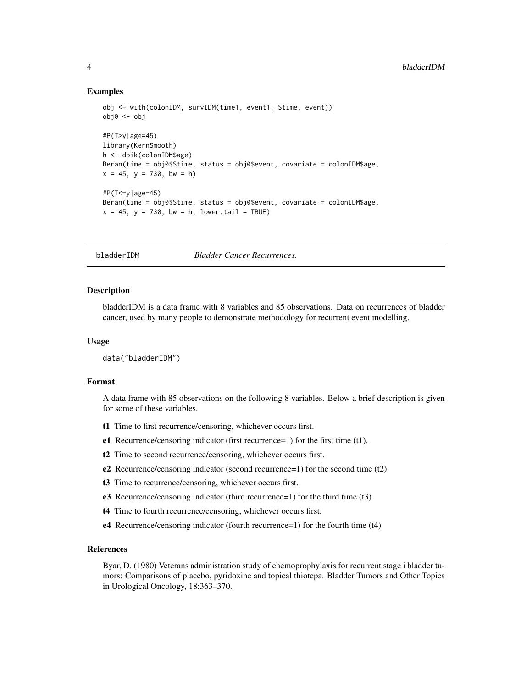# <span id="page-3-0"></span>Examples

```
obj <- with(colonIDM, survIDM(time1, event1, Stime, event))
obj0 <- obj
#P(T>y|age=45)
library(KernSmooth)
h <- dpik(colonIDM$age)
Beran(time = obj0$Stime, status = obj0$event, covariate = colonIDM$age,
x = 45, y = 730, bw = h)
#P(T<=y|age=45)
Beran(time = obj0$Stime, status = obj0$event, covariate = colonIDM$age,
x = 45, y = 730, bw = h, lower.tail = TRUE)
```
bladderIDM *Bladder Cancer Recurrences.*

#### **Description**

bladderIDM is a data frame with 8 variables and 85 observations. Data on recurrences of bladder cancer, used by many people to demonstrate methodology for recurrent event modelling.

#### Usage

```
data("bladderIDM")
```
# Format

A data frame with 85 observations on the following 8 variables. Below a brief description is given for some of these variables.

- t1 Time to first recurrence/censoring, whichever occurs first.
- e1 Recurrence/censoring indicator (first recurrence=1) for the first time (t1).
- t2 Time to second recurrence/censoring, whichever occurs first.
- e2 Recurrence/censoring indicator (second recurrence=1) for the second time (t2)
- t3 Time to recurrence/censoring, whichever occurs first.
- e3 Recurrence/censoring indicator (third recurrence=1) for the third time (t3)
- t4 Time to fourth recurrence/censoring, whichever occurs first.
- e4 Recurrence/censoring indicator (fourth recurrence=1) for the fourth time (t4)

# References

Byar, D. (1980) Veterans administration study of chemoprophylaxis for recurrent stage i bladder tumors: Comparisons of placebo, pyridoxine and topical thiotepa. Bladder Tumors and Other Topics in Urological Oncology, 18:363–370.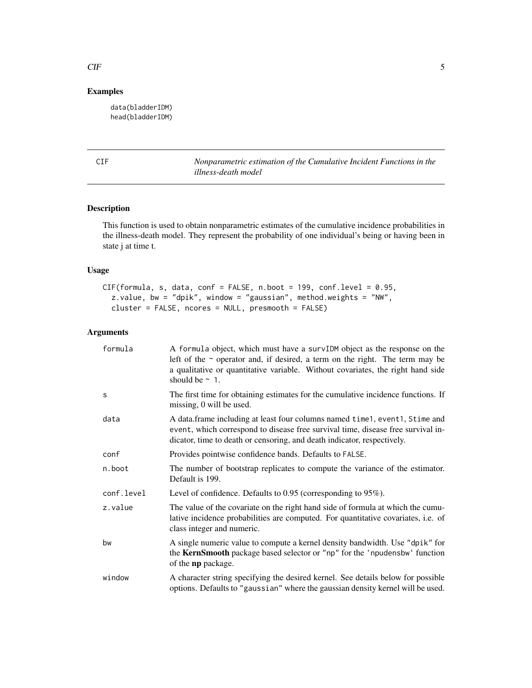# <span id="page-4-0"></span> $CIF$  5

# Examples

data(bladderIDM) head(bladderIDM)

CIF *Nonparametric estimation of the Cumulative Incident Functions in the illness-death model*

# Description

This function is used to obtain nonparametric estimates of the cumulative incidence probabilities in the illness-death model. They represent the probability of one individual's being or having been in state j at time t.

# Usage

```
CIF(formula, s, data, conf = FALSE, n.boot = 199, conf.level = 0.95,
 z.value, bw = "dpik", window = "gaussian", method.weights = "NW",
  cluster = FALSE, ncores = NULL, presmooth = FALSE)
```
# Arguments

| formula    | A formula object, which must have a survIDM object as the response on the<br>left of the $\sim$ operator and, if desired, a term on the right. The term may be<br>a qualitative or quantitative variable. Without covariates, the right hand side<br>should be $\sim$ 1. |
|------------|--------------------------------------------------------------------------------------------------------------------------------------------------------------------------------------------------------------------------------------------------------------------------|
| S          | The first time for obtaining estimates for the cumulative incidence functions. If<br>missing, 0 will be used.                                                                                                                                                            |
| data       | A data.frame including at least four columns named time 1, event 1, Stime and<br>event, which correspond to disease free survival time, disease free survival in-<br>dicator, time to death or censoring, and death indicator, respectively.                             |
| conf       | Provides pointwise confidence bands. Defaults to FALSE.                                                                                                                                                                                                                  |
| n.boot     | The number of bootstrap replicates to compute the variance of the estimator.<br>Default is 199.                                                                                                                                                                          |
| conf.level | Level of confidence. Defaults to $0.95$ (corresponding to $95\%$ ).                                                                                                                                                                                                      |
| z.value    | The value of the covariate on the right hand side of formula at which the cumu-<br>lative incidence probabilities are computed. For quantitative covariates, i.e. of<br>class integer and numeric.                                                                       |
| bw         | A single numeric value to compute a kernel density bandwidth. Use "dpik" for<br>the KernSmooth package based selector or "np" for the 'npudensbw' function<br>of the np package.                                                                                         |
| window     | A character string specifying the desired kernel. See details below for possible<br>options. Defaults to "gaussian" where the gaussian density kernel will be used.                                                                                                      |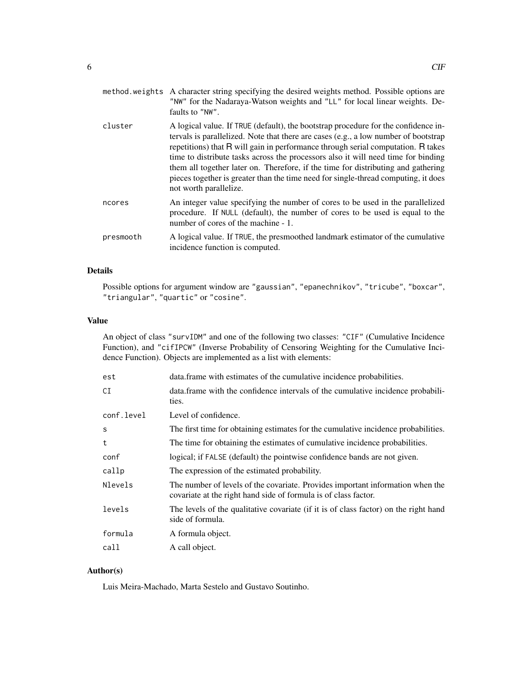|           | "NW" for the Nadaraya-Watson weights and "LL" for local linear weights. De-<br>faults to "NW".                                                                                                                                                                                                                                                                                                                                                                                                                                                          |
|-----------|---------------------------------------------------------------------------------------------------------------------------------------------------------------------------------------------------------------------------------------------------------------------------------------------------------------------------------------------------------------------------------------------------------------------------------------------------------------------------------------------------------------------------------------------------------|
| cluster   | A logical value. If TRUE (default), the bootstrap procedure for the confidence in-<br>tervals is parallelized. Note that there are cases (e.g., a low number of bootstrap<br>repetitions) that R will gain in performance through serial computation. R takes<br>time to distribute tasks across the processors also it will need time for binding<br>them all together later on. Therefore, if the time for distributing and gathering<br>pieces together is greater than the time need for single-thread computing, it does<br>not worth parallelize. |
| ncores    | An integer value specifying the number of cores to be used in the parallelized<br>procedure. If NULL (default), the number of cores to be used is equal to the<br>number of cores of the machine - 1.                                                                                                                                                                                                                                                                                                                                                   |
| presmooth | A logical value. If TRUE, the presmoothed landmark estimator of the cumulative<br>incidence function is computed.                                                                                                                                                                                                                                                                                                                                                                                                                                       |

# Details

Possible options for argument window are "gaussian", "epanechnikov", "tricube", "boxcar", "triangular", "quartic" or "cosine".

# Value

An object of class "survIDM" and one of the following two classes: "CIF" (Cumulative Incidence Function), and "cifIPCW" (Inverse Probability of Censoring Weighting for the Cumulative Incidence Function). Objects are implemented as a list with elements:

| data. frame with estimates of the cumulative incidence probabilities.                                                                             |
|---------------------------------------------------------------------------------------------------------------------------------------------------|
| data. frame with the confidence intervals of the cumulative incidence probabili-<br>ties.                                                         |
| Level of confidence.                                                                                                                              |
| The first time for obtaining estimates for the cumulative incidence probabilities.                                                                |
| The time for obtaining the estimates of cumulative incidence probabilities.                                                                       |
| logical; if FALSE (default) the pointwise confidence bands are not given.                                                                         |
| The expression of the estimated probability.                                                                                                      |
| The number of levels of the covariate. Provides important information when the<br>covariate at the right hand side of formula is of class factor. |
| The levels of the qualitative covariate (if it is of class factor) on the right hand<br>side of formula.                                          |
| A formula object.                                                                                                                                 |
| A call object.                                                                                                                                    |
|                                                                                                                                                   |

# Author(s)

Luis Meira-Machado, Marta Sestelo and Gustavo Soutinho.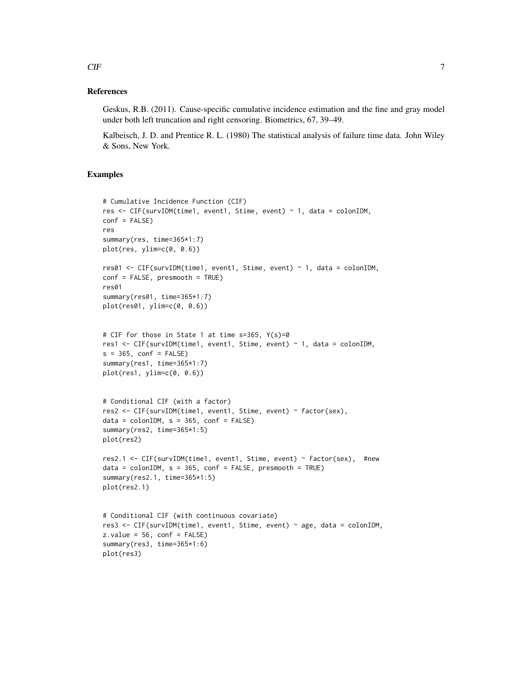#### References

Geskus, R.B. (2011). Cause-specific cumulative incidence estimation and the fine and gray model under both left truncation and right censoring. Biometrics, 67, 39–49.

Kalbeisch, J. D. and Prentice R. L. (1980) The statistical analysis of failure time data. John Wiley & Sons, New York.

### Examples

```
# Cumulative Incidence Function (CIF)
res <- CIF(survIDM(time1, event1, Stime, event) ~ 1, data = colonIDM,
conf = FALSE)
res
summary(res, time=365*1:7)
plot(res, ylim=c(0, 0.6))
res01 <- CIF(survIDM(time1, event1, Stime, event) ~ 1, data = colonIDM,
conf = FALSE, presmooth = TRUE)
res01
summary(res01, time=365*1:7)
plot(res01, ylim=c(0, 0.6))
# CIF for those in State 1 at time s=365, Y(s)=0
res1 <- CIF(survIDM(time1, event1, Stime, event) ~ 1, data = colonIDM,
s = 365, conf = FALSE)
summary(res1, time=365*1:7)
plot(res1, ylim=c(0, 0.6))
# Conditional CIF (with a factor)
res2 <- CIF(survIDM(time1, event1, Stime, event) ~ factor(sex),
data = colonIDM, s = 365, conf = FALSE)summary(res2, time=365*1:5)
plot(res2)
res2.1 <- CIF(survIDM(time1, event1, Stime, event) ~ factor(sex), #new
data = colonIDM, s = 365, conf = FALSE, present = TRUE)summary(res2.1, time=365*1:5)
plot(res2.1)
# Conditional CIF (with continuous covariate)
res3 <- CIF(survIDM(time1, event1, Stime, event) ~ age, data = colonIDM,
z.values = 56, conf = FALSE)
summary(res3, time=365*1:6)
plot(res3)
```
 $CIF$  7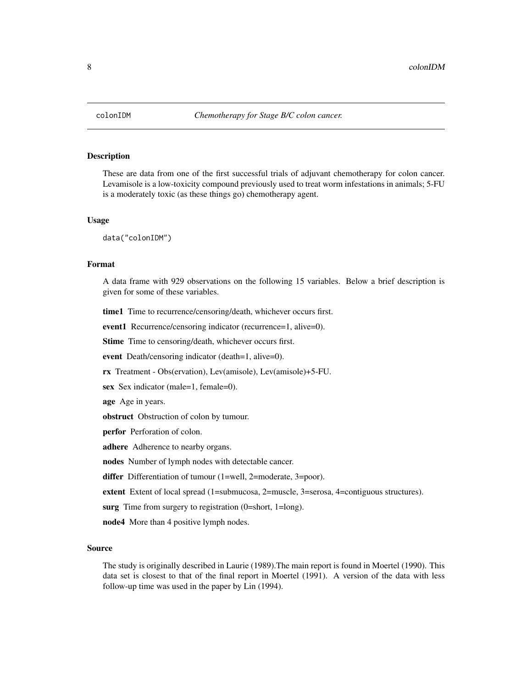# <span id="page-7-0"></span>Description

These are data from one of the first successful trials of adjuvant chemotherapy for colon cancer. Levamisole is a low-toxicity compound previously used to treat worm infestations in animals; 5-FU is a moderately toxic (as these things go) chemotherapy agent.

#### Usage

data("colonIDM")

# Format

A data frame with 929 observations on the following 15 variables. Below a brief description is given for some of these variables.

time1 Time to recurrence/censoring/death, whichever occurs first.

event1 Recurrence/censoring indicator (recurrence=1, alive=0).

Stime Time to censoring/death, whichever occurs first.

event Death/censoring indicator (death=1, alive=0).

rx Treatment - Obs(ervation), Lev(amisole), Lev(amisole)+5-FU.

sex Sex indicator (male=1, female=0).

age Age in years.

obstruct Obstruction of colon by tumour.

perfor Perforation of colon.

adhere Adherence to nearby organs.

nodes Number of lymph nodes with detectable cancer.

differ Differentiation of tumour (1=well, 2=moderate, 3=poor).

extent Extent of local spread (1=submucosa, 2=muscle, 3=serosa, 4=contiguous structures).

surg Time from surgery to registration (0=short, 1=long).

node4 More than 4 positive lymph nodes.

#### Source

The study is originally described in Laurie (1989).The main report is found in Moertel (1990). This data set is closest to that of the final report in Moertel (1991). A version of the data with less follow-up time was used in the paper by Lin (1994).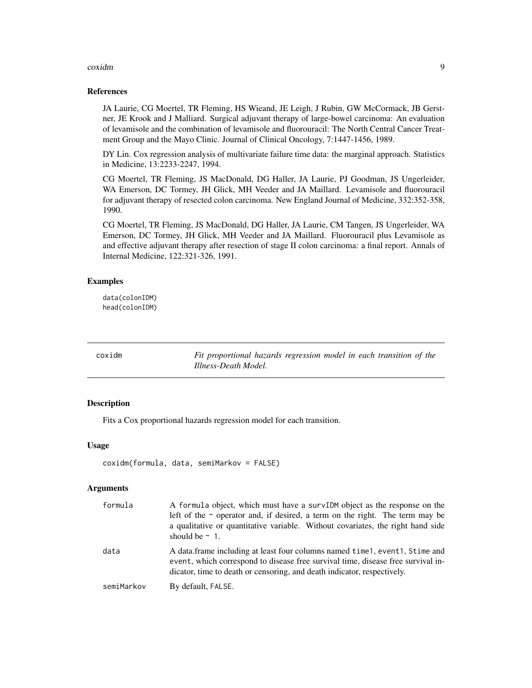#### <span id="page-8-0"></span>coxidm **9**

### References

JA Laurie, CG Moertel, TR Fleming, HS Wieand, JE Leigh, J Rubin, GW McCormack, JB Gerstner, JE Krook and J Malliard. Surgical adjuvant therapy of large-bowel carcinoma: An evaluation of levamisole and the combination of levamisole and fluorouracil: The North Central Cancer Treatment Group and the Mayo Clinic. Journal of Clinical Oncology, 7:1447-1456, 1989.

DY Lin. Cox regression analysis of multivariate failure time data: the marginal approach. Statistics in Medicine, 13:2233-2247, 1994.

CG Moertel, TR Fleming, JS MacDonald, DG Haller, JA Laurie, PJ Goodman, JS Ungerleider, WA Emerson, DC Tormey, JH Glick, MH Veeder and JA Maillard. Levamisole and fluorouracil for adjuvant therapy of resected colon carcinoma. New England Journal of Medicine, 332:352-358, 1990.

CG Moertel, TR Fleming, JS MacDonald, DG Haller, JA Laurie, CM Tangen, JS Ungerleider, WA Emerson, DC Tormey, JH Glick, MH Veeder and JA Maillard. Fluorouracil plus Levamisole as and effective adjuvant therapy after resection of stage II colon carcinoma: a final report. Annals of Internal Medicine, 122:321-326, 1991.

# Examples

data(colonIDM) head(colonIDM)

coxidm *Fit proportional hazards regression model in each transition of the Illness-Death Model.*

# Description

Fits a Cox proportional hazards regression model for each transition.

# Usage

```
coxidm(formula, data, semiMarkov = FALSE)
```
# Arguments

| formula    | A formula object, which must have a survIDM object as the response on the<br>left of the $\sim$ operator and, if desired, a term on the right. The term may be<br>a qualitative or quantitative variable. Without covariates, the right hand side<br>should be $\sim$ 1. |
|------------|--------------------------------------------------------------------------------------------------------------------------------------------------------------------------------------------------------------------------------------------------------------------------|
| data       | A data frame including at least four columns named time 1, event 1, Stime and<br>event, which correspond to disease free survival time, disease free survival in-<br>dicator, time to death or censoring, and death indicator, respectively.                             |
| semiMarkov | By default, FALSE.                                                                                                                                                                                                                                                       |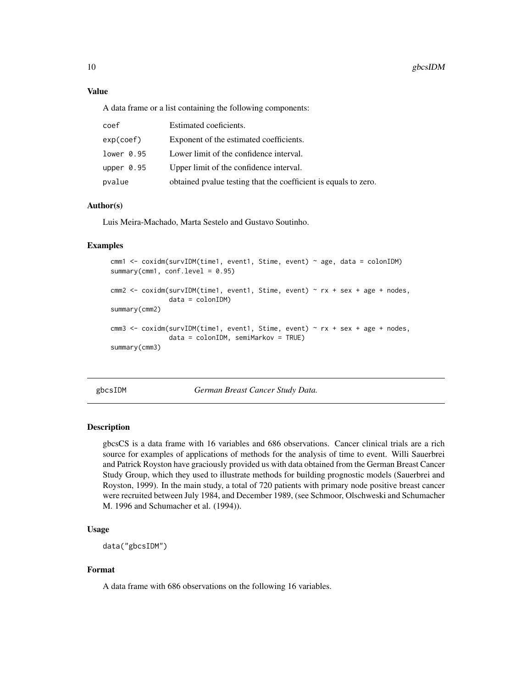# Value

A data frame or a list containing the following components:

| coef         | Estimated coeficients.                                          |
|--------------|-----------------------------------------------------------------|
| exp(coef)    | Exponent of the estimated coefficients.                         |
| lower 0.95   | Lower limit of the confidence interval.                         |
| upper $0.95$ | Upper limit of the confidence interval.                         |
| pvalue       | obtained pyalue testing that the coefficient is equals to zero. |

# Author(s)

Luis Meira-Machado, Marta Sestelo and Gustavo Soutinho.

# Examples

```
cmm1 <- coxidm(survIDM(time1, event1, Stime, event) ~ age, data = colonIDM)
summary(cmm1, conf.level = 0.95)
cmm2 <- coxidm(survIDM(time1, event1, Stime, event) ~ rx + sex + age + nodes,
               data = colonIDM)
summary(cmm2)
cmm3 <- coxidm(survIDM(time1, event1, Stime, event) ~ rx + sex + age + nodes,
               data = colonIDM, semiMarkov = TRUE)
summary(cmm3)
```
gbcsIDM *German Breast Cancer Study Data.*

#### Description

gbcsCS is a data frame with 16 variables and 686 observations. Cancer clinical trials are a rich source for examples of applications of methods for the analysis of time to event. Willi Sauerbrei and Patrick Royston have graciously provided us with data obtained from the German Breast Cancer Study Group, which they used to illustrate methods for building prognostic models (Sauerbrei and Royston, 1999). In the main study, a total of 720 patients with primary node positive breast cancer were recruited between July 1984, and December 1989, (see Schmoor, Olschweski and Schumacher M. 1996 and Schumacher et al. (1994)).

### Usage

```
data("gbcsIDM")
```
# Format

A data frame with 686 observations on the following 16 variables.

<span id="page-9-0"></span>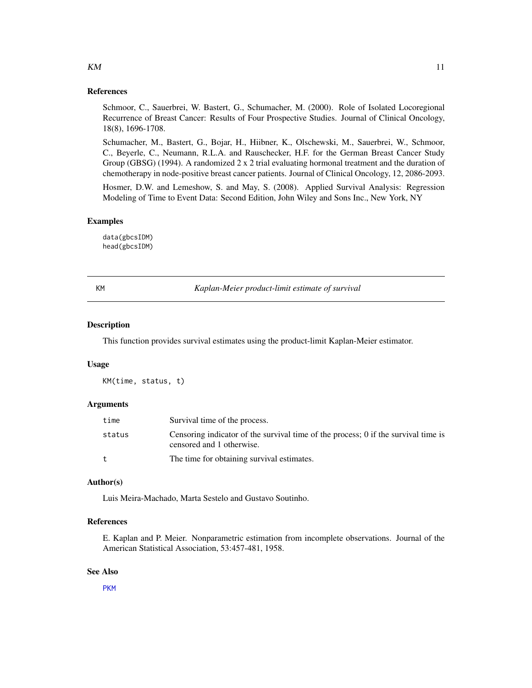# <span id="page-10-0"></span>References

Schmoor, C., Sauerbrei, W. Bastert, G., Schumacher, M. (2000). Role of Isolated Locoregional Recurrence of Breast Cancer: Results of Four Prospective Studies. Journal of Clinical Oncology, 18(8), 1696-1708.

Schumacher, M., Bastert, G., Bojar, H., Hiibner, K., Olschewski, M., Sauerbrei, W., Schmoor, C., Beyerle, C., Neumann, R.L.A. and Rauschecker, H.F. for the German Breast Cancer Study Group (GBSG) (1994). A randomized 2 x 2 trial evaluating hormonal treatment and the duration of chemotherapy in node-positive breast cancer patients. Journal of Clinical Oncology, 12, 2086-2093.

Hosmer, D.W. and Lemeshow, S. and May, S. (2008). Applied Survival Analysis: Regression Modeling of Time to Event Data: Second Edition, John Wiley and Sons Inc., New York, NY

#### Examples

data(gbcsIDM) head(gbcsIDM)

<span id="page-10-1"></span>

KM *Kaplan-Meier product-limit estimate of survival*

#### Description

This function provides survival estimates using the product-limit Kaplan-Meier estimator.

#### Usage

KM(time, status, t)

#### Arguments

| time   | Survival time of the process.                                                                                   |
|--------|-----------------------------------------------------------------------------------------------------------------|
| status | Censoring indicator of the survival time of the process; 0 if the survival time is<br>censored and 1 otherwise. |
| t      | The time for obtaining survival estimates.                                                                      |

# Author(s)

Luis Meira-Machado, Marta Sestelo and Gustavo Soutinho.

# References

E. Kaplan and P. Meier. Nonparametric estimation from incomplete observations. Journal of the American Statistical Association, 53:457-481, 1958.

#### See Also

[PKM](#page-16-1)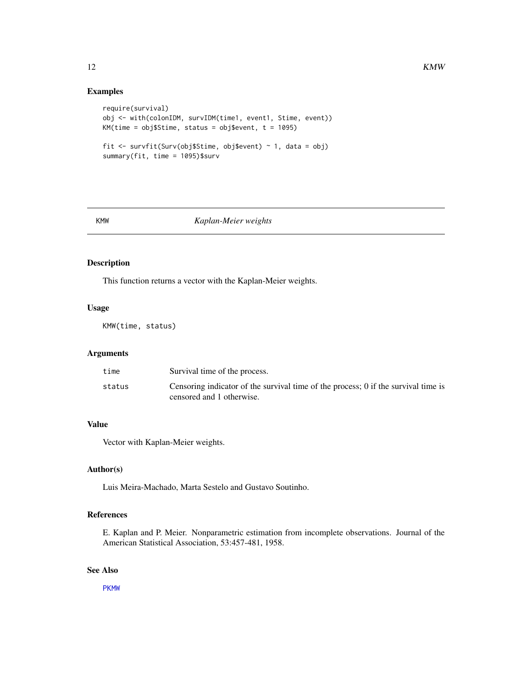# <span id="page-11-0"></span>Examples

```
require(survival)
obj <- with(colonIDM, survIDM(time1, event1, Stime, event))
KM(time = obj$Stime, status = obj$event, t = 1095)
fit <- survfit(Surv(obj$Stime, obj$event) ~ 1, data = obj)
summary(fit, time = 1095)$surv
```
<span id="page-11-1"></span>

# KMW *Kaplan-Meier weights*

# Description

This function returns a vector with the Kaplan-Meier weights.

# Usage

KMW(time, status)

# Arguments

| time   | Survival time of the process.                                                                                   |
|--------|-----------------------------------------------------------------------------------------------------------------|
| status | Censoring indicator of the survival time of the process; 0 if the survival time is<br>censored and 1 otherwise. |

# Value

Vector with Kaplan-Meier weights.

#### Author(s)

Luis Meira-Machado, Marta Sestelo and Gustavo Soutinho.

# References

E. Kaplan and P. Meier. Nonparametric estimation from incomplete observations. Journal of the American Statistical Association, 53:457-481, 1958.

# See Also

[PKMW](#page-17-1)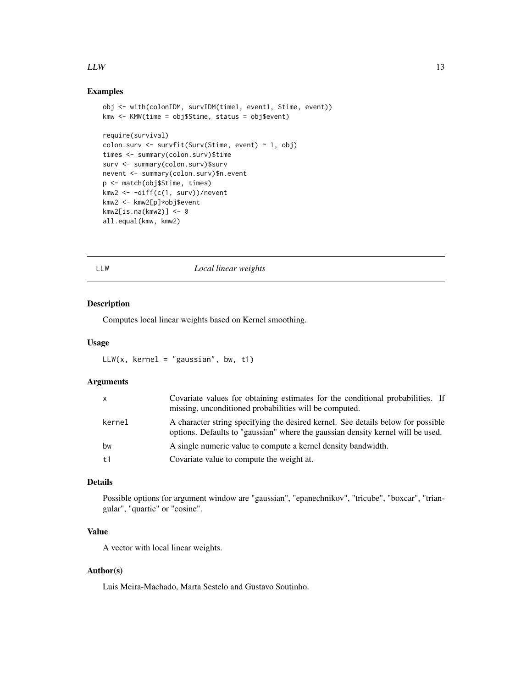# <span id="page-12-0"></span> $LLW$  13

# Examples

```
obj <- with(colonIDM, survIDM(time1, event1, Stime, event))
kmw <- KMW(time = obj$Stime, status = obj$event)
require(survival)
colon.surv <- survfit(Surv(Stime, event) \sim 1, obj)
times <- summary(colon.surv)$time
surv <- summary(colon.surv)$surv
nevent <- summary(colon.surv)$n.event
p <- match(obj$Stime, times)
kmw2 <- -diff(c(1, surv))/nevent
kmw2 <- kmw2[p]*obj$event
kmw2[is.na(kmw2)] <- 0
all.equal(kmw, kmw2)
```
<span id="page-12-1"></span>

#### LLW *Local linear weights*

# Description

Computes local linear weights based on Kernel smoothing.

# Usage

```
LLW(x, kernel = "gaussian", bw, t1)
```
# Arguments

| $\mathsf{x}$ | Covariate values for obtaining estimates for the conditional probabilities. If<br>missing, unconditioned probabilities will be computed.                            |
|--------------|---------------------------------------------------------------------------------------------------------------------------------------------------------------------|
| kernel       | A character string specifying the desired kernel. See details below for possible<br>options. Defaults to "gaussian" where the gaussian density kernel will be used. |
| bw           | A single numeric value to compute a kernel density bandwidth.                                                                                                       |
| t1           | Covariate value to compute the weight at.                                                                                                                           |

# Details

Possible options for argument window are "gaussian", "epanechnikov", "tricube", "boxcar", "triangular", "quartic" or "cosine".

# Value

A vector with local linear weights.

#### Author(s)

Luis Meira-Machado, Marta Sestelo and Gustavo Soutinho.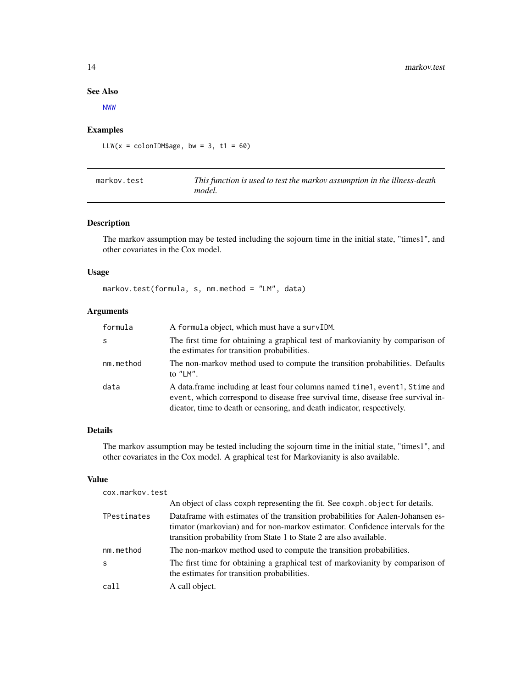# See Also

[NWW](#page-15-1)

# Examples

LLW( $x = \text{colonIDM}\$ age, bw = 3, t1 = 60)

| markov.test | This function is used to test the markov assumption in the illness-death |
|-------------|--------------------------------------------------------------------------|
|             | model.                                                                   |

# Description

The markov assumption may be tested including the sojourn time in the initial state, "times1", and other covariates in the Cox model.

# Usage

markov.test(formula, s, nm.method = "LM", data)

# Arguments

| formula   | A formula object, which must have a survIDM.                                                                                                                                                                                                 |
|-----------|----------------------------------------------------------------------------------------------------------------------------------------------------------------------------------------------------------------------------------------------|
| S         | The first time for obtaining a graphical test of markovianity by comparison of<br>the estimates for transition probabilities.                                                                                                                |
| nm.method | The non-markov method used to compute the transition probabilities. Defaults<br>to $"LM"$ .                                                                                                                                                  |
| data      | A data frame including at least four columns named time 1, event 1, Stime and<br>event, which correspond to disease free survival time, disease free survival in-<br>dicator, time to death or censoring, and death indicator, respectively. |

# Details

The markov assumption may be tested including the sojourn time in the initial state, "times1", and other covariates in the Cox model. A graphical test for Markovianity is also available.

# Value

```
cox.markov.test
```

|             | An object of class coxph representing the fit. See coxph. object for details.                                                                                                                                                           |
|-------------|-----------------------------------------------------------------------------------------------------------------------------------------------------------------------------------------------------------------------------------------|
| TPestimates | Dataframe with estimates of the transition probabilities for Aalen-Johansen es-<br>timator (markovian) and for non-markov estimator. Confidence intervals for the<br>transition probability from State 1 to State 2 are also available. |
| nm.method   | The non-markov method used to compute the transition probabilities.                                                                                                                                                                     |
| S           | The first time for obtaining a graphical test of markovianity by comparison of<br>the estimates for transition probabilities.                                                                                                           |
| call        | A call object.                                                                                                                                                                                                                          |

<span id="page-13-0"></span>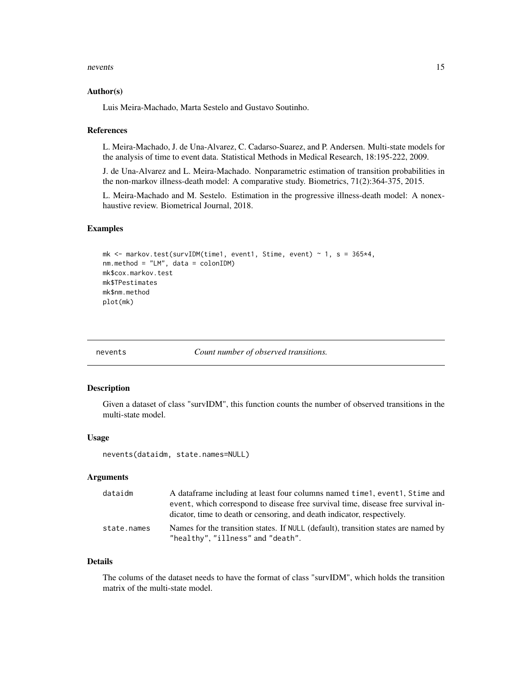#### <span id="page-14-0"></span>nevents and the contract of the contract of the contract of the contract of the contract of the contract of the contract of the contract of the contract of the contract of the contract of the contract of the contract of th

#### Author(s)

Luis Meira-Machado, Marta Sestelo and Gustavo Soutinho.

#### References

L. Meira-Machado, J. de Una-Alvarez, C. Cadarso-Suarez, and P. Andersen. Multi-state models for the analysis of time to event data. Statistical Methods in Medical Research, 18:195-222, 2009.

J. de Una-Alvarez and L. Meira-Machado. Nonparametric estimation of transition probabilities in the non-markov illness-death model: A comparative study. Biometrics, 71(2):364-375, 2015.

L. Meira-Machado and M. Sestelo. Estimation in the progressive illness-death model: A nonexhaustive review. Biometrical Journal, 2018.

# Examples

```
mk \le markov.test(survIDM(time1, event1, Stime, event) \sim 1, s = 365*4,
nm.method = "LM", data = colonIDM)
mk$cox.markov.test
mk$TPestimates
mk$nm.method
plot(mk)
```
nevents *Count number of observed transitions.*

#### Description

Given a dataset of class "survIDM", this function counts the number of observed transitions in the multi-state model.

#### Usage

```
nevents(dataidm, state.names=NULL)
```
# Arguments

| dataidm     | A data frame including at least four columns named time 1, event 1, Stime and      |
|-------------|------------------------------------------------------------------------------------|
|             | event, which correspond to disease free survival time, disease free survival in-   |
|             | dicator, time to death or censoring, and death indicator, respectively.            |
| state.names | Names for the transition states. If NULL (default), transition states are named by |
|             | "healthy", "illness" and "death".                                                  |

### Details

The colums of the dataset needs to have the format of class "survIDM", which holds the transition matrix of the multi-state model.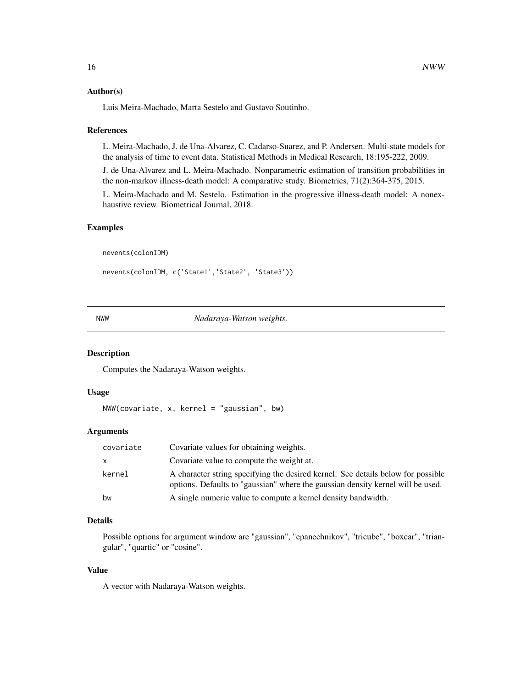#### <span id="page-15-0"></span>Author(s)

Luis Meira-Machado, Marta Sestelo and Gustavo Soutinho.

#### References

L. Meira-Machado, J. de Una-Alvarez, C. Cadarso-Suarez, and P. Andersen. Multi-state models for the analysis of time to event data. Statistical Methods in Medical Research, 18:195-222, 2009.

J. de Una-Alvarez and L. Meira-Machado. Nonparametric estimation of transition probabilities in the non-markov illness-death model: A comparative study. Biometrics, 71(2):364-375, 2015.

L. Meira-Machado and M. Sestelo. Estimation in the progressive illness-death model: A nonexhaustive review. Biometrical Journal, 2018.

# Examples

nevents(colonIDM)

nevents(colonIDM, c('State1','State2', 'State3'))

<span id="page-15-1"></span>NWW *Nadaraya-Watson weights.*

# Description

Computes the Nadaraya-Watson weights.

# Usage

 $NWW$ (covariate, x, kernel = "gaussian", bw)

#### **Arguments**

| covariate | Covariate values for obtaining weights.                                                                                                                             |
|-----------|---------------------------------------------------------------------------------------------------------------------------------------------------------------------|
| X         | Covariate value to compute the weight at.                                                                                                                           |
| kernel    | A character string specifying the desired kernel. See details below for possible<br>options. Defaults to "gaussian" where the gaussian density kernel will be used. |
| bw        | A single numeric value to compute a kernel density bandwidth.                                                                                                       |

# Details

Possible options for argument window are "gaussian", "epanechnikov", "tricube", "boxcar", "triangular", "quartic" or "cosine".

# Value

A vector with Nadaraya-Watson weights.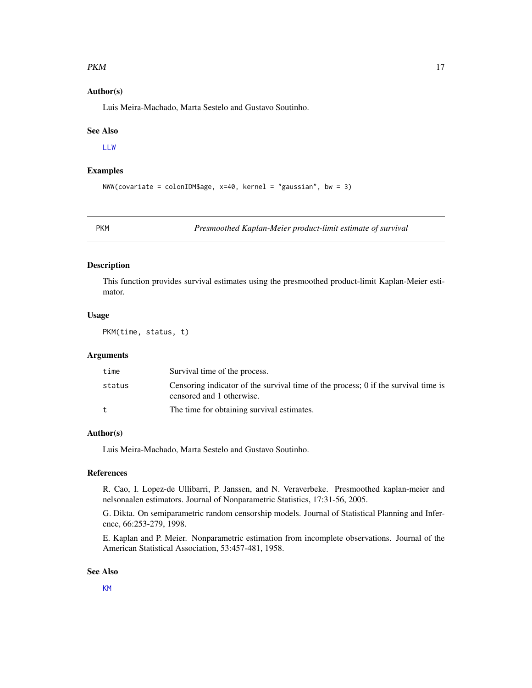#### <span id="page-16-0"></span> $PKM$  and the contract of the contract of the contract of the contract of the contract of the contract of the contract of the contract of the contract of the contract of the contract of the contract of the contract of the

# Author(s)

Luis Meira-Machado, Marta Sestelo and Gustavo Soutinho.

#### See Also

[LLW](#page-12-1)

# Examples

```
NWW(covariate = colonIDM$age, x=40, kernel = "gaussian", bw = 3)
```
<span id="page-16-1"></span>

PKM *Presmoothed Kaplan-Meier product-limit estimate of survival*

# Description

This function provides survival estimates using the presmoothed product-limit Kaplan-Meier estimator.

# Usage

PKM(time, status, t)

#### Arguments

| time         | Survival time of the process.                                                                                   |
|--------------|-----------------------------------------------------------------------------------------------------------------|
| status       | Censoring indicator of the survival time of the process; 0 if the survival time is<br>censored and 1 otherwise. |
| $^{\dagger}$ | The time for obtaining survival estimates.                                                                      |

#### Author(s)

Luis Meira-Machado, Marta Sestelo and Gustavo Soutinho.

# References

R. Cao, I. Lopez-de Ullibarri, P. Janssen, and N. Veraverbeke. Presmoothed kaplan-meier and nelsonaalen estimators. Journal of Nonparametric Statistics, 17:31-56, 2005.

G. Dikta. On semiparametric random censorship models. Journal of Statistical Planning and Inference, 66:253-279, 1998.

E. Kaplan and P. Meier. Nonparametric estimation from incomplete observations. Journal of the American Statistical Association, 53:457-481, 1958.

#### See Also

[KM](#page-10-1)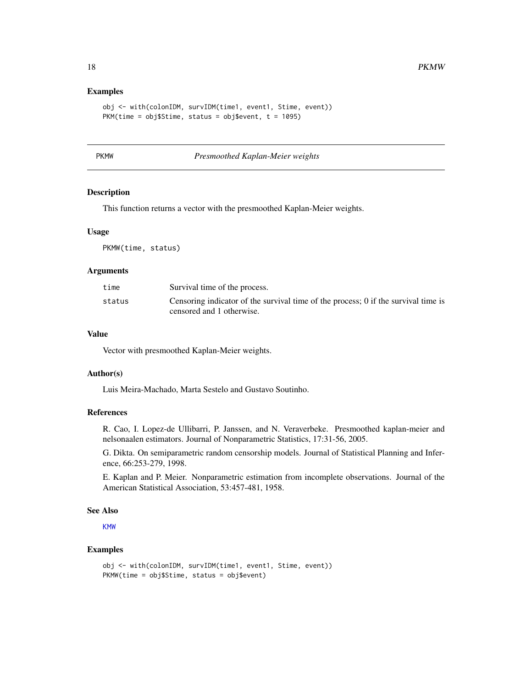### Examples

```
obj <- with(colonIDM, survIDM(time1, event1, Stime, event))
PKM(time = obj$Stime, status = obj$event, t = 1095)
```
<span id="page-17-1"></span>

PKMW *Presmoothed Kaplan-Meier weights*

# Description

This function returns a vector with the presmoothed Kaplan-Meier weights.

#### Usage

PKMW(time, status)

#### Arguments

| Survival time of the process.                                                                                   |
|-----------------------------------------------------------------------------------------------------------------|
| Censoring indicator of the survival time of the process; 0 if the survival time is<br>censored and 1 otherwise. |
|                                                                                                                 |

# Value

Vector with presmoothed Kaplan-Meier weights.

# Author(s)

Luis Meira-Machado, Marta Sestelo and Gustavo Soutinho.

# References

R. Cao, I. Lopez-de Ullibarri, P. Janssen, and N. Veraverbeke. Presmoothed kaplan-meier and nelsonaalen estimators. Journal of Nonparametric Statistics, 17:31-56, 2005.

G. Dikta. On semiparametric random censorship models. Journal of Statistical Planning and Inference, 66:253-279, 1998.

E. Kaplan and P. Meier. Nonparametric estimation from incomplete observations. Journal of the American Statistical Association, 53:457-481, 1958.

# See Also

[KMW](#page-11-1)

#### Examples

```
obj <- with(colonIDM, survIDM(time1, event1, Stime, event))
PKMW(time = obj$Stime, status = obj$event)
```
<span id="page-17-0"></span>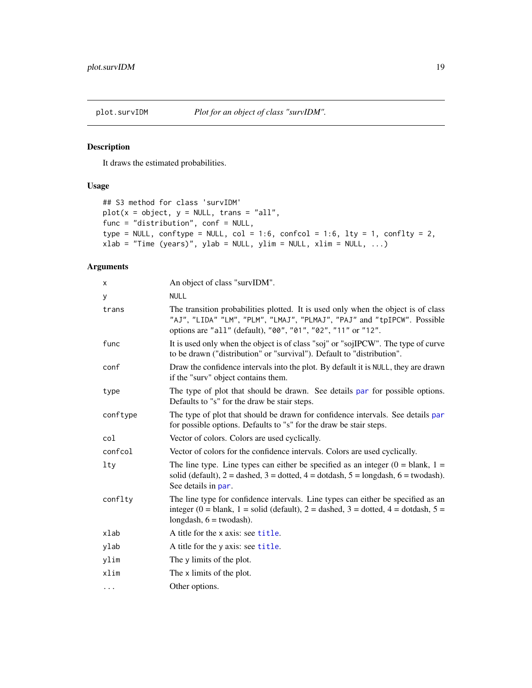<span id="page-18-0"></span>

# Description

It draws the estimated probabilities.

# Usage

```
## S3 method for class 'survIDM'
plot(x = object, y = NULL, trans = "all",func = "distribution", conf = NULL,
type = NULL, conftype = NULL, col = 1:6, confcol = 1:6, lty = 1, conflty = 2,
xlab = "Time (years)", ylab = NULL, ylim = NULL, xlim = NULL, ...)
```
# Arguments

| x          | An object of class "survIDM".                                                                                                                                                                                                |
|------------|------------------------------------------------------------------------------------------------------------------------------------------------------------------------------------------------------------------------------|
| у          | <b>NULL</b>                                                                                                                                                                                                                  |
| trans      | The transition probabilities plotted. It is used only when the object is of class<br>"AJ", "LIDA" "LM", "PLM", "LMAJ", "PLMAJ", "PAJ" and "tpIPCW". Possible<br>options are "all" (default), "00", "01", "02", "11" or "12". |
| func       | It is used only when the object is of class "soj" or "sojIPCW". The type of curve<br>to be drawn ("distribution" or "survival"). Default to "distribution".                                                                  |
| conf       | Draw the confidence intervals into the plot. By default it is NULL, they are drawn<br>if the "surv" object contains them.                                                                                                    |
| type       | The type of plot that should be drawn. See details par for possible options.<br>Defaults to "s" for the draw be stair steps.                                                                                                 |
| conftype   | The type of plot that should be drawn for confidence intervals. See details par<br>for possible options. Defaults to "s" for the draw be stair steps.                                                                        |
| col        | Vector of colors. Colors are used cyclically.                                                                                                                                                                                |
| confcol    | Vector of colors for the confidence intervals. Colors are used cyclically.                                                                                                                                                   |
| <b>lty</b> | The line type. Line types can either be specified as an integer $(0 = blank, 1 =$<br>solid (default), $2 =$ dashed, $3 =$ dotted, $4 =$ dotdash, $5 =$ longdash, $6 =$ twodash).<br>See details in par.                      |
| conflty    | The line type for confidence intervals. Line types can either be specified as an<br>integer (0 = blank, 1 = solid (default), 2 = dashed, 3 = dotted, 4 = dotdash, 5 =<br>longdash, $6 =$ twodash).                           |
| xlab       | A title for the x axis: see title.                                                                                                                                                                                           |
| ylab       | A title for the y axis: see title.                                                                                                                                                                                           |
| ylim       | The y limits of the plot.                                                                                                                                                                                                    |
| xlim       | The x limits of the plot.                                                                                                                                                                                                    |
| $\cdots$   | Other options.                                                                                                                                                                                                               |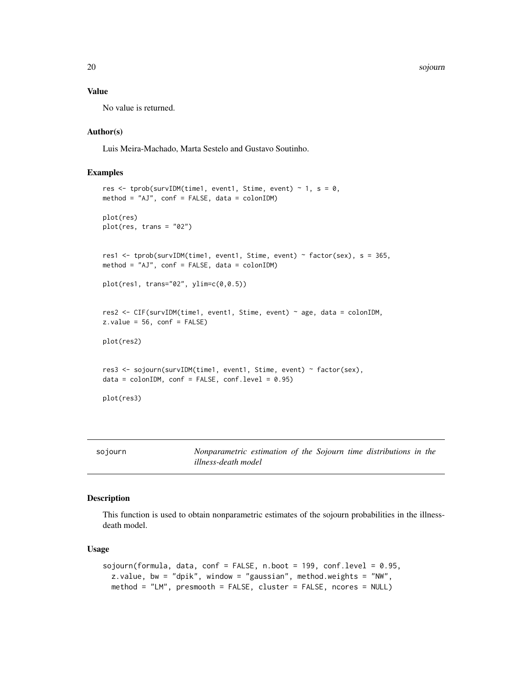20 sojourn

# Value

No value is returned.

#### Author(s)

Luis Meira-Machado, Marta Sestelo and Gustavo Soutinho.

# Examples

```
res <- tprob(survIDM(time1, event1, Stime, event) ~ 1, s = \theta,
method = "AJ", conf = FALSE, data = colonIDM)
plot(res)
plot(res, trans = "02")
res1 <- tprob(survIDM(time1, event1, Stime, event) ~ factor(sex), s = 365,
method = "AJ", conf = FALSE, data = colonIDM)
plot(res1, trans="02", ylim=c(0,0.5))
res2 <- CIF(survIDM(time1, event1, Stime, event) ~ age, data = colonIDM,
z.values = 56, conf = FALSE)
plot(res2)
res3 <- sojourn(survIDM(time1, event1, Stime, event) ~ factor(sex),
data = colonIDM, conf = FALSE, conf.level = 0.95)plot(res3)
```
sojourn *Nonparametric estimation of the Sojourn time distributions in the illness-death model*

# Description

This function is used to obtain nonparametric estimates of the sojourn probabilities in the illnessdeath model.

# Usage

```
sojourn(formula, data, conf = FALSE, n.boot = 199, conf.level = 0.95,
 z.value, bw = "dpik", window = "gaussian", method.weights = "NW",
 method = "LM", presmooth = FALSE, cluster = FALSE, ncores = NULL)
```
<span id="page-19-0"></span>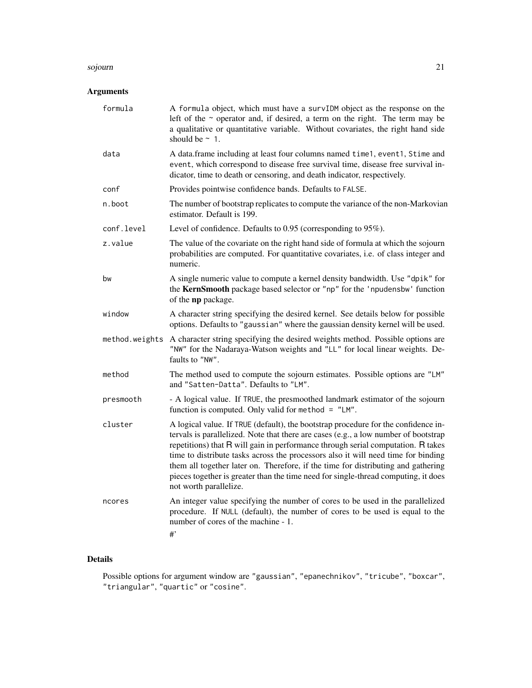#### sojourn 21

# Arguments

| formula        | A formula object, which must have a survIDM object as the response on the<br>left of the ~ operator and, if desired, a term on the right. The term may be<br>a qualitative or quantitative variable. Without covariates, the right hand side<br>should be $\sim$ 1.                                                                                                                                                                                                                                                                                     |
|----------------|---------------------------------------------------------------------------------------------------------------------------------------------------------------------------------------------------------------------------------------------------------------------------------------------------------------------------------------------------------------------------------------------------------------------------------------------------------------------------------------------------------------------------------------------------------|
| data           | A data.frame including at least four columns named time1, event1, Stime and<br>event, which correspond to disease free survival time, disease free survival in-<br>dicator, time to death or censoring, and death indicator, respectively.                                                                                                                                                                                                                                                                                                              |
| conf           | Provides pointwise confidence bands. Defaults to FALSE.                                                                                                                                                                                                                                                                                                                                                                                                                                                                                                 |
| n.boot         | The number of bootstrap replicates to compute the variance of the non-Markovian<br>estimator. Default is 199.                                                                                                                                                                                                                                                                                                                                                                                                                                           |
| conf.level     | Level of confidence. Defaults to 0.95 (corresponding to 95%).                                                                                                                                                                                                                                                                                                                                                                                                                                                                                           |
| z.value        | The value of the covariate on the right hand side of formula at which the sojourn<br>probabilities are computed. For quantitative covariates, i.e. of class integer and<br>numeric.                                                                                                                                                                                                                                                                                                                                                                     |
| bw             | A single numeric value to compute a kernel density bandwidth. Use "dpik" for<br>the KernSmooth package based selector or "np" for the 'npudensbw' function<br>of the np package.                                                                                                                                                                                                                                                                                                                                                                        |
| window         | A character string specifying the desired kernel. See details below for possible<br>options. Defaults to "gaussian" where the gaussian density kernel will be used.                                                                                                                                                                                                                                                                                                                                                                                     |
| method.weights | A character string specifying the desired weights method. Possible options are<br>"NW" for the Nadaraya-Watson weights and "LL" for local linear weights. De-<br>faults to "NW".                                                                                                                                                                                                                                                                                                                                                                        |
| method         | The method used to compute the sojourn estimates. Possible options are "LM"<br>and "Satten-Datta". Defaults to "LM".                                                                                                                                                                                                                                                                                                                                                                                                                                    |
| presmooth      | - A logical value. If TRUE, the presmoothed landmark estimator of the sojourn<br>function is computed. Only valid for method = "LM".                                                                                                                                                                                                                                                                                                                                                                                                                    |
| cluster        | A logical value. If TRUE (default), the bootstrap procedure for the confidence in-<br>tervals is parallelized. Note that there are cases (e.g., a low number of bootstrap<br>repetitions) that R will gain in performance through serial computation. R takes<br>time to distribute tasks across the processors also it will need time for binding<br>them all together later on. Therefore, if the time for distributing and gathering<br>pieces together is greater than the time need for single-thread computing, it does<br>not worth parallelize. |
| ncores         | An integer value specifying the number of cores to be used in the parallelized<br>procedure. If NULL (default), the number of cores to be used is equal to the<br>number of cores of the machine - 1.<br>#                                                                                                                                                                                                                                                                                                                                              |

# Details

Possible options for argument window are "gaussian", "epanechnikov", "tricube", "boxcar", "triangular", "quartic" or "cosine".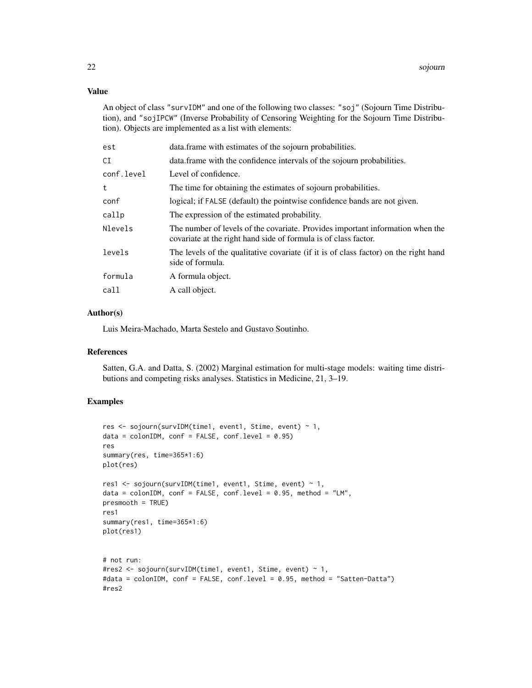# Value

An object of class "survIDM" and one of the following two classes: "soj" (Sojourn Time Distribution), and "sojIPCW" (Inverse Probability of Censoring Weighting for the Sojourn Time Distribution). Objects are implemented as a list with elements:

| est        | data. frame with estimates of the sojourn probabilities.                                                                                          |
|------------|---------------------------------------------------------------------------------------------------------------------------------------------------|
| СI         | data. frame with the confidence intervals of the sojourn probabilities.                                                                           |
| conf.level | Level of confidence.                                                                                                                              |
| t          | The time for obtaining the estimates of sojourn probabilities.                                                                                    |
| conf       | logical; if FALSE (default) the pointwise confidence bands are not given.                                                                         |
| callp      | The expression of the estimated probability.                                                                                                      |
| Nlevels    | The number of levels of the covariate. Provides important information when the<br>covariate at the right hand side of formula is of class factor. |
| levels     | The levels of the qualitative covariate (if it is of class factor) on the right hand<br>side of formula.                                          |
| formula    | A formula object.                                                                                                                                 |
| call       | A call object.                                                                                                                                    |
|            |                                                                                                                                                   |

#### Author(s)

Luis Meira-Machado, Marta Sestelo and Gustavo Soutinho.

#### References

Satten, G.A. and Datta, S. (2002) Marginal estimation for multi-stage models: waiting time distributions and competing risks analyses. Statistics in Medicine, 21, 3–19.

# Examples

```
res <- sojourn(survIDM(time1, event1, Stime, event) ~ 1,
data = colonIDM, conf = FALSE, conf.level = 0.95)res
summary(res, time=365*1:6)
plot(res)
res1 <- sojourn(survIDM(time1, event1, Stime, event) ~ 1,
data = colonIM, conf = FALSE, conf.level = 0.95, method = "LM",presmooth = TRUE)
res1
summary(res1, time=365*1:6)
plot(res1)
# not run:
#res2 <- sojourn(survIDM(time1, event1, Stime, event) ~ 1,
#data = colonIDM, conf = FALSE, conf.level = 0.95, method = "Satten-Datta")
#res2
```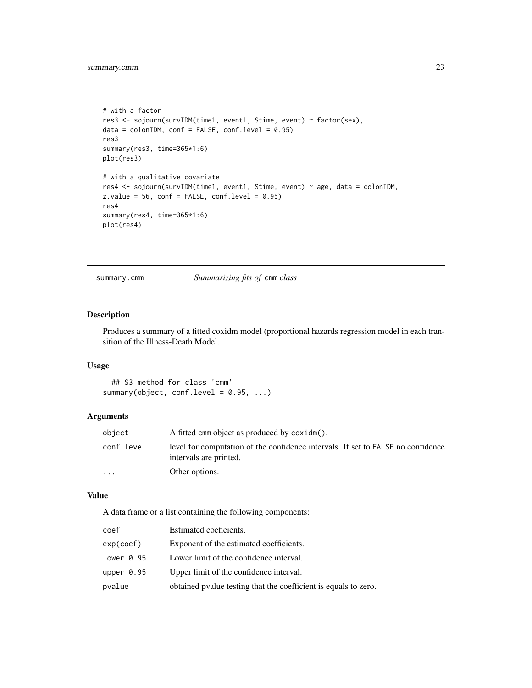```
# with a factor
res3 <- sojourn(survIDM(time1, event1, Stime, event) ~ factor(sex),
data = colonIDM, conf = FALSE, conf.level = 0.95)res3
summary(res3, time=365*1:6)
plot(res3)
# with a qualitative covariate
res4 <- sojourn(survIDM(time1, event1, Stime, event) ~ age, data = colonIDM,
z.values = 56, conf = FALSE, conf.level = 0.95)
res4
summary(res4, time=365*1:6)
plot(res4)
```
summary.cmm *Summarizing fits of* cmm *class*

# Description

Produces a summary of a fitted coxidm model (proportional hazards regression model in each transition of the Illness-Death Model.

# Usage

```
## S3 method for class 'cmm'
summary(object, conf.level = 0.95, ...)
```
# Arguments

| object     | A fitted cmm object as produced by coxidm().                                                               |
|------------|------------------------------------------------------------------------------------------------------------|
| conf.level | level for computation of the confidence intervals. If set to FALSE no confidence<br>intervals are printed. |
| $\ddotsc$  | Other options.                                                                                             |

#### Value

A data frame or a list containing the following components:

| coef       | Estimated coeficients.                                          |
|------------|-----------------------------------------------------------------|
| exp(coef)  | Exponent of the estimated coefficients.                         |
| lower 0.95 | Lower limit of the confidence interval.                         |
| upper 0.95 | Upper limit of the confidence interval.                         |
| pvalue     | obtained pyalue testing that the coefficient is equals to zero. |
|            |                                                                 |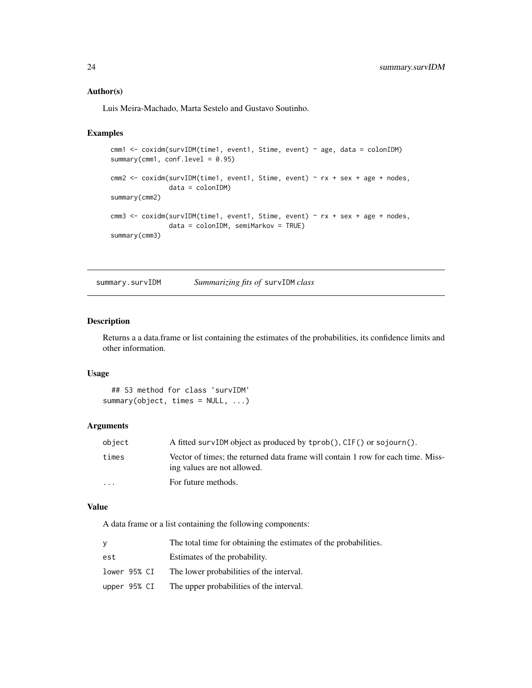# <span id="page-23-0"></span>Author(s)

Luis Meira-Machado, Marta Sestelo and Gustavo Soutinho.

# Examples

```
cmm1 <- coxidm(survIDM(time1, event1, Stime, event) ~ age, data = colonIDM)
summary(cmm1, conf.level = 0.95)
cmm2 <- coxidm(survIDM(time1, event1, Stime, event) ~ rx + sex + age + nodes,
               data = colonIDM)
summary(cmm2)
cmm3 <- coxidm(survIDM(time1, event1, Stime, event) ~ rx + sex + age + nodes,
               data = colonIDM, semiMarkov = TRUE)
summary(cmm3)
```
summary.survIDM *Summarizing fits of* survIDM *class*

# Description

Returns a a data.frame or list containing the estimates of the probabilities, its confidence limits and other information.

# Usage

```
## S3 method for class 'survIDM'
summary(object, times = NULL, ...)
```
# Arguments

| object                  | A fitted survIDM object as produced by tprob(), CIF() or sojourn().                                             |
|-------------------------|-----------------------------------------------------------------------------------------------------------------|
| times                   | Vector of times; the returned data frame will contain 1 row for each time. Miss-<br>ing values are not allowed. |
| $\cdot$ $\cdot$ $\cdot$ | For future methods.                                                                                             |

# Value

A data frame or a list containing the following components:

|              | The total time for obtaining the estimates of the probabilities. |
|--------------|------------------------------------------------------------------|
| est          | Estimates of the probability.                                    |
| lower 95% CI | The lower probabilities of the interval.                         |
| upper 95% CI | The upper probabilities of the interval.                         |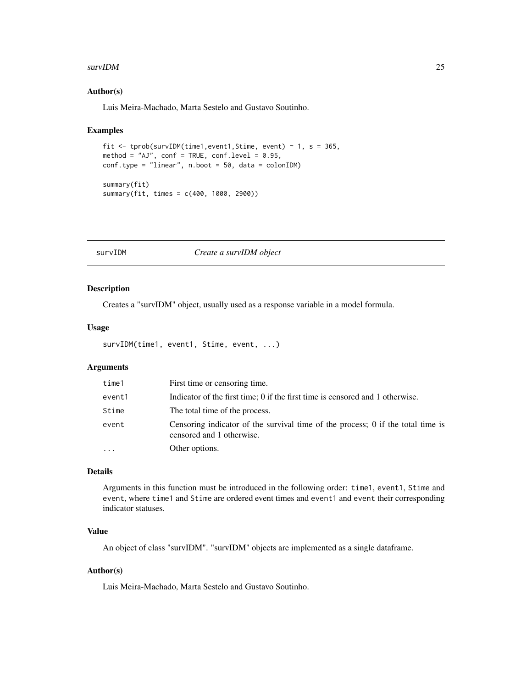#### <span id="page-24-0"></span> $survIDM$  25

### Author(s)

Luis Meira-Machado, Marta Sestelo and Gustavo Soutinho.

#### Examples

```
fit \le tprob(survIDM(time1, event1, Stime, event) \sim 1, s = 365,
method = "AJ", conf = TRUE, conf.level = 0.95,
conf.type = "linear", n.boot = 50, data = colonIDM)
summary(fit)
summary(fit, times = c(400, 1000, 2900))
```
# survIDM *Create a survIDM object*

#### Description

Creates a "survIDM" object, usually used as a response variable in a model formula.

#### Usage

```
survIDM(time1, event1, Stime, event, ...)
```
# Arguments

| time1    | First time or censoring time.                                                                                |
|----------|--------------------------------------------------------------------------------------------------------------|
| event1   | Indicator of the first time; 0 if the first time is censored and 1 otherwise.                                |
| Stime    | The total time of the process.                                                                               |
| event    | Censoring indicator of the survival time of the process; 0 if the total time is<br>censored and 1 otherwise. |
| $\cdots$ | Other options.                                                                                               |

#### Details

Arguments in this function must be introduced in the following order: time1, event1, Stime and event, where time1 and Stime are ordered event times and event1 and event their corresponding indicator statuses.

# Value

An object of class "survIDM". "survIDM" objects are implemented as a single dataframe.

#### Author(s)

Luis Meira-Machado, Marta Sestelo and Gustavo Soutinho.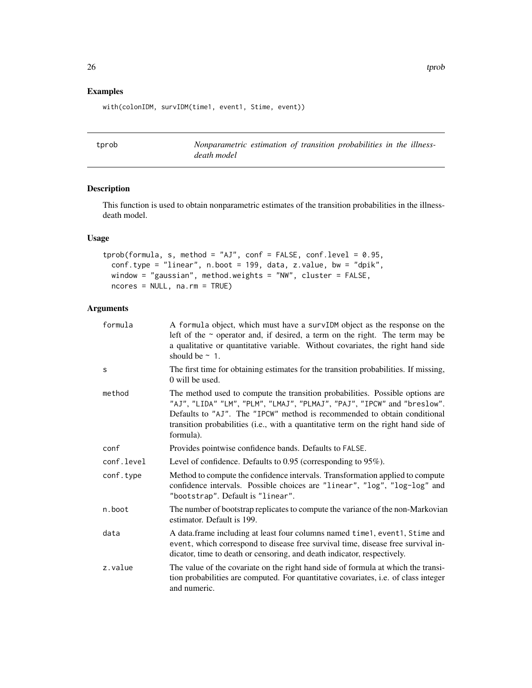# Examples

with(colonIDM, survIDM(time1, event1, Stime, event))

tprob *Nonparametric estimation of transition probabilities in the illnessdeath model*

# Description

This function is used to obtain nonparametric estimates of the transition probabilities in the illnessdeath model.

# Usage

```
tprob(formula, s, method = "AJ", conf = FALSE, conf.level = 0.95,
 conf.type = "linear", n.boot = 199, data, z.value, bw = "dpik",
 window = "gaussian", method.weights = "NW", cluster = FALSE,
 ncores = NULL, na.rm = TRUE)
```
# Arguments

| formula    | A formula object, which must have a survIDM object as the response on the<br>left of the $\sim$ operator and, if desired, a term on the right. The term may be<br>a qualitative or quantitative variable. Without covariates, the right hand side<br>should be $\sim$ 1.                                                                |
|------------|-----------------------------------------------------------------------------------------------------------------------------------------------------------------------------------------------------------------------------------------------------------------------------------------------------------------------------------------|
| S          | The first time for obtaining estimates for the transition probabilities. If missing,<br>$\alpha$ will be used.                                                                                                                                                                                                                          |
| method     | The method used to compute the transition probabilities. Possible options are<br>"AJ", "LIDA" "LM", "PLM", "LMAJ", "PLMAJ", "PAJ", "IPCW" and "breslow".<br>Defaults to "AJ". The "IPCW" method is recommended to obtain conditional<br>transition probabilities (i.e., with a quantitative term on the right hand side of<br>formula). |
| conf       | Provides pointwise confidence bands. Defaults to FALSE.                                                                                                                                                                                                                                                                                 |
| conf.level | Level of confidence. Defaults to $0.95$ (corresponding to $95\%$ ).                                                                                                                                                                                                                                                                     |
| conf.type  | Method to compute the confidence intervals. Transformation applied to compute<br>confidence intervals. Possible choices are "linear", "log", "log-log" and<br>"bootstrap". Default is "linear".                                                                                                                                         |
| n.boot     | The number of bootstrap replicates to compute the variance of the non-Markovian<br>estimator. Default is 199.                                                                                                                                                                                                                           |
| data       | A data.frame including at least four columns named time1, event1, Stime and<br>event, which correspond to disease free survival time, disease free survival in-<br>dicator, time to death or censoring, and death indicator, respectively.                                                                                              |
| z.value    | The value of the covariate on the right hand side of formula at which the transi-<br>tion probabilities are computed. For quantitative covariates, i.e. of class integer<br>and numeric.                                                                                                                                                |

<span id="page-25-0"></span>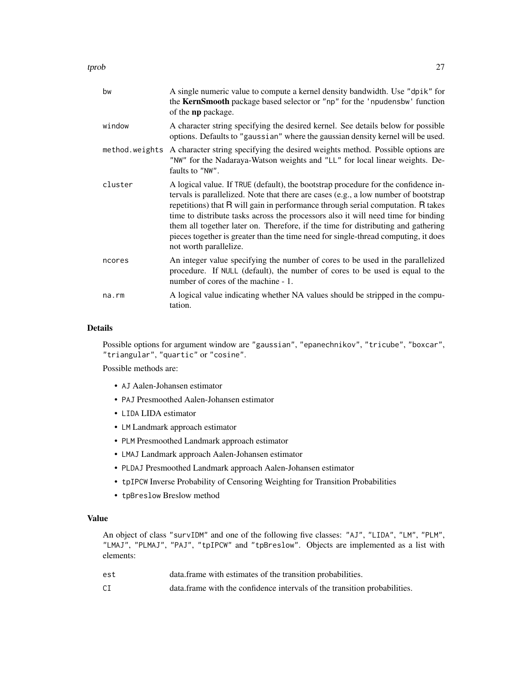| bw             | A single numeric value to compute a kernel density bandwidth. Use "dpik" for<br>the KernSmooth package based selector or "np" for the 'npudensbw' function<br>of the <b>np</b> package.                                                                                                                                                                                                                                                                                                                                                                 |
|----------------|---------------------------------------------------------------------------------------------------------------------------------------------------------------------------------------------------------------------------------------------------------------------------------------------------------------------------------------------------------------------------------------------------------------------------------------------------------------------------------------------------------------------------------------------------------|
| window         | A character string specifying the desired kernel. See details below for possible<br>options. Defaults to "gaussian" where the gaussian density kernel will be used.                                                                                                                                                                                                                                                                                                                                                                                     |
| method.weights | A character string specifying the desired weights method. Possible options are<br>"NW" for the Nadaraya-Watson weights and "LL" for local linear weights. De-<br>faults to "NW".                                                                                                                                                                                                                                                                                                                                                                        |
| cluster        | A logical value. If TRUE (default), the bootstrap procedure for the confidence in-<br>tervals is parallelized. Note that there are cases (e.g., a low number of bootstrap<br>repetitions) that R will gain in performance through serial computation. R takes<br>time to distribute tasks across the processors also it will need time for binding<br>them all together later on. Therefore, if the time for distributing and gathering<br>pieces together is greater than the time need for single-thread computing, it does<br>not worth parallelize. |
| ncores         | An integer value specifying the number of cores to be used in the parallelized<br>procedure. If NULL (default), the number of cores to be used is equal to the<br>number of cores of the machine - 1.                                                                                                                                                                                                                                                                                                                                                   |
| na.rm          | A logical value indicating whether NA values should be stripped in the compu-<br>tation.                                                                                                                                                                                                                                                                                                                                                                                                                                                                |

#### Details

Possible options for argument window are "gaussian", "epanechnikov", "tricube", "boxcar", "triangular", "quartic" or "cosine".

Possible methods are:

- AJ Aalen-Johansen estimator
- PAJ Presmoothed Aalen-Johansen estimator
- LIDA LIDA estimator
- LM Landmark approach estimator
- PLM Presmoothed Landmark approach estimator
- LMAJ Landmark approach Aalen-Johansen estimator
- PLDAJ Presmoothed Landmark approach Aalen-Johansen estimator
- tpIPCW Inverse Probability of Censoring Weighting for Transition Probabilities
- tpBreslow Breslow method

### Value

An object of class "survIDM" and one of the following five classes: "AJ", "LIDA", "LM", "PLM", "LMAJ", "PLMAJ", "PAJ", "tpIPCW" and "tpBreslow". Objects are implemented as a list with elements:

| est | data. frame with estimates of the transition probabilities.                |
|-----|----------------------------------------------------------------------------|
| СI  | data. frame with the confidence intervals of the transition probabilities. |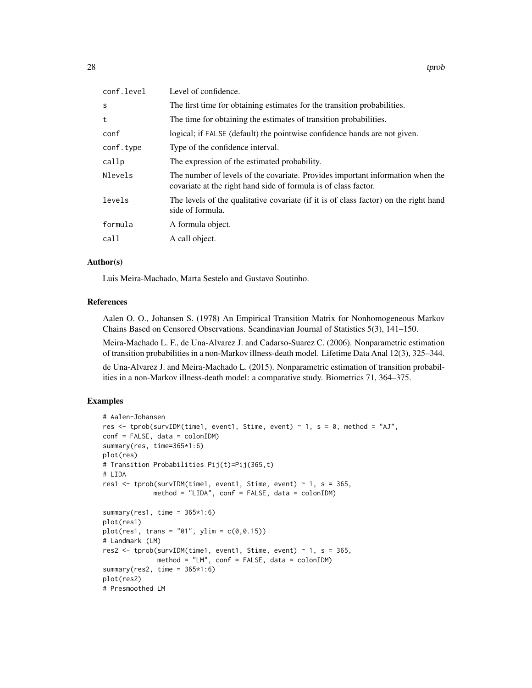| conf.level | Level of confidence.                                                                                                                              |
|------------|---------------------------------------------------------------------------------------------------------------------------------------------------|
| S          | The first time for obtaining estimates for the transition probabilities.                                                                          |
| t          | The time for obtaining the estimates of transition probabilities.                                                                                 |
| conf       | logical; if FALSE (default) the pointwise confidence bands are not given.                                                                         |
| conf.type  | Type of the confidence interval.                                                                                                                  |
| callp      | The expression of the estimated probability.                                                                                                      |
| Nlevels    | The number of levels of the covariate. Provides important information when the<br>covariate at the right hand side of formula is of class factor. |
| levels     | The levels of the qualitative covariate (if it is of class factor) on the right hand<br>side of formula.                                          |
| formula    | A formula object.                                                                                                                                 |
| call       | A call object.                                                                                                                                    |

# Author(s)

Luis Meira-Machado, Marta Sestelo and Gustavo Soutinho.

#### References

Aalen O. O., Johansen S. (1978) An Empirical Transition Matrix for Nonhomogeneous Markov Chains Based on Censored Observations. Scandinavian Journal of Statistics 5(3), 141–150.

Meira-Machado L. F., de Una-Alvarez J. and Cadarso-Suarez C. (2006). Nonparametric estimation of transition probabilities in a non-Markov illness-death model. Lifetime Data Anal 12(3), 325–344.

de Una-Alvarez J. and Meira-Machado L. (2015). Nonparametric estimation of transition probabilities in a non-Markov illness-death model: a comparative study. Biometrics 71, 364–375.

# Examples

```
# Aalen-Johansen
res <- tprob(survIDM(time1, event1, Stime, event) ~ 1, s = 0, method = "AJ",
conf = FALSE, data = colonIDM)
summary(res, time=365*1:6)
plot(res)
# Transition Probabilities Pij(t)=Pij(365,t)
# LIDA
res1 \le tprob(survIDM(time1, event1, Stime, event) \sim 1, s = 365,
             method = "LIDA", conf = FALSE, data = colonIDM)
summary(res1, time = 365*1:6)
plot(res1)
plot(res1, trans = "01", ylim = c(0, 0.15))# Landmark (LM)
res2 <- tprob(survIDM(time1, event1, Stime, event) \sim 1, s = 365,
              method = "LM", conf = FALSE, data = colonIDM)
summary(res2, time = 365*1:6)
plot(res2)
# Presmoothed LM
```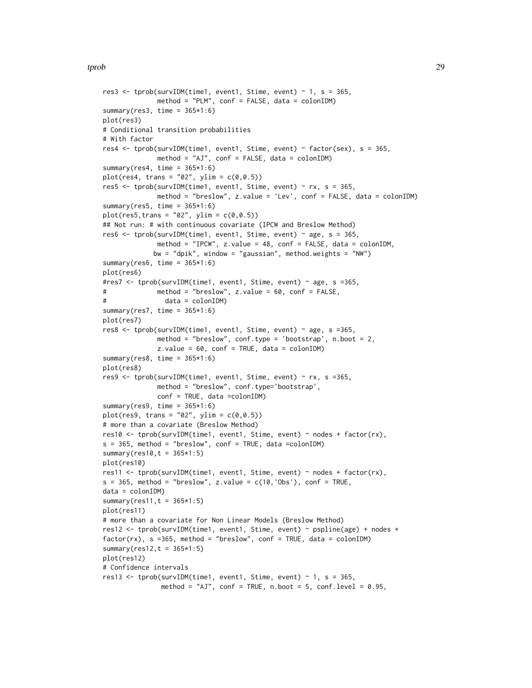```
res3 \le tprob(survIDM(time1, event1, Stime, event) \sim 1, s = 365,
              method = "PLM", conf = FALSE, data = colonIDM)
summary(res3, time = 365*1:6)
plot(res3)
# Conditional transition probabilities
# With factor
res4 <- tprob(survIDM(time1, event1, Stime, event) ~ factor(sex), s = 365,
              method = "AJ", conf = FALSE, data = colonIDM)
summary(res4, time = 365*1:6)
plot(res4, trans = "02", ylim = c(0, 0.5))res5 <- tprob(survIDM(time1, event1, Stime, event) ~ rx, s = 365,
              method = "breslow", z.value = 'Lev', conf = FALSE, data = colonIDM)
summary(res5, time = 365*1:6)
plot(res5, trans = "02", ylim = c(0, 0.5))## Not run: # with continuous covariate (IPCW and Breslow Method)
res6 \le tprob(survIDM(time1, event1, Stime, event) \sim age, s = 365,
              method = "IPCW", z.value = 48, conf = FALSE, data = colonIDM,
             bw = "dpik", window = "gaussian", method.weights = "NW")
summary(res6, time = 365*1:6)
plot(res6)
#res7 <- tprob(survIDM(time1, event1, Stime, event) ~ age, s =365,
# method = "breslow", z.value = 60, conf = FALSE,
# data = colonIDM)
summary(res7, time = 365*1:6)
plot(res7)
res8 <- tprob(survIDM(time1, event1, Stime, event) ~ age, s =365,
              method = "breslow", conf.type = 'bootstrap', n.boot = 2,
              z.values = 60, conf = TRUE, data = colonIDM)
summary(res8, time = 365*1:6)
plot(res8)
res9 \le tprob(survIDM(time1, event1, Stime, event) \sim rx, s =365,
              method = "breslow", conf.type='bootstrap',
              conf = TRUE, data =colonIDM)
summary(res9, time = 365*1:6)
plot(res9, trans = "02", ylim = c(0, 0.5))
# more than a covariate (Breslow Method)
res10 <- tprob(survIDM(time1, event1, Stime, event) ~ nodes + factor(rx),
s = 365, method = "breslow", conf = TRUE, data =colonIDM)
summary(res10,t = 365*1:5)
plot(res10)
res11 <- tprob(survIDM(time1, event1, Stime, event) ~ nodes + factor(rx),
s = 365, method = "breslow", z.value = c(10, 'Obs'), conf = TRUE,
data = colonIDM)
summary(res11,t = 365*1:5)
plot(res11)
# more than a covariate for Non Linear Models (Breslow Method)
res12 <- tprob(survIDM(time1, event1, Stime, event) ~ pspline(age) + nodes +
factor(rx), s = 365, method = "breslow", conf = TRUE, data = colonIDM)
summary(res12, t = 365*1:5)
plot(res12)
# Confidence intervals
res13 <- tprob(survIDM(time1, event1, Stime, event) \sim 1, s = 365,
               method = "AJ", conf = TRUE, n.boot = 5, conf.level = 0.95,
```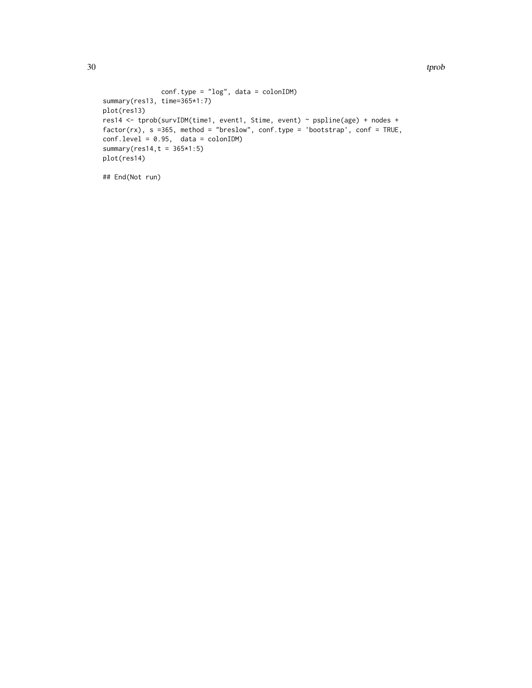```
conf.type = "log", data = colonIDM)
summary(res13, time=365*1:7)
plot(res13)
res14 <- tprob(survIDM(time1, event1, Stime, event) ~ pspline(age) + nodes +
factor(rx), s =365, method = "breslow", conf.type = 'bootstrap', conf = TRUE,
conf. level = 0.95, data = colonIDM)summary(res14,t = 365*1:5)
plot(res14)
```

```
## End(Not run)
```